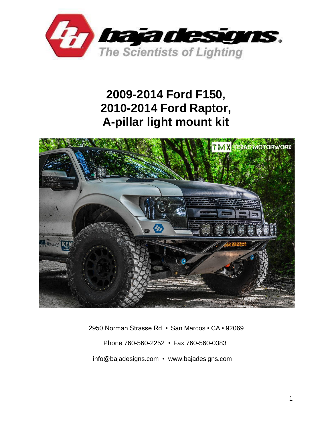

# **2009-2014 Ford F150, 2010-2014 Ford Raptor, A-pillar light mount kit**



 2950 Norman Strasse Rd • San Marcos • CA • 92069 Phone 760-560-2252 • Fax 760-560-0383 [info@bajadesigns.com](mailto:info@bajadesigns.com) • [www.bajadesigns.com](http://www.bajadesigns.com/)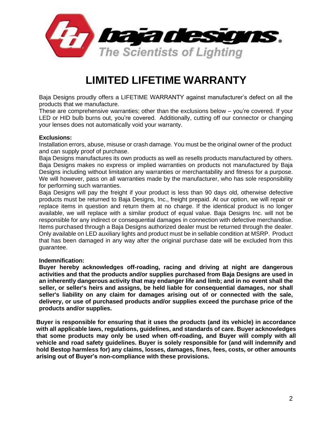

# **LIMITED LIFETIME WARRANTY**

Baja Designs proudly offers a LIFETIME WARRANTY against manufacturer's defect on all the products that we manufacture.

These are comprehensive warranties; other than the exclusions below – you're covered. If your LED or HID bulb burns out, you're covered. Additionally, cutting off our connector or changing your lenses does not automatically void your warranty.

#### **Exclusions:**

Installation errors, abuse, misuse or crash damage. You must be the original owner of the product and can supply proof of purchase.

Baja Designs manufactures its own products as well as resells products manufactured by others. Baja Designs makes no express or implied warranties on products not manufactured by Baja Designs including without limitation any warranties or merchantability and fitness for a purpose. We will however, pass on all warranties made by the manufacturer, who has sole responsibility for performing such warranties.

Baja Designs will pay the freight if your product is less than 90 days old, otherwise defective products must be returned to Baja Designs, Inc., freight prepaid. At our option, we will repair or replace items in question and return them at no charge. If the identical product is no longer available, we will replace with a similar product of equal value. Baja Designs Inc. will not be responsible for any indirect or consequential damages in connection with defective merchandise. Items purchased through a Baja Designs authorized dealer must be returned through the dealer. Only available on LED auxiliary lights and product must be in sellable condition at MSRP. Product that has been damaged in any way after the original purchase date will be excluded from this guarantee.

#### **Indemnification:**

**Buyer hereby acknowledges off-roading, racing and driving at night are dangerous activities and that the products and/or supplies purchased from Baja Designs are used in an inherently dangerous activity that may endanger life and limb; and in no event shall the seller, or seller's heirs and assigns, be held liable for consequential damages, nor shall seller's liability on any claim for damages arising out of or connected with the sale, delivery, or use of purchased products and/or supplies exceed the purchase price of the products and/or supplies.**

**Buyer is responsible for ensuring that it uses the products (and its vehicle) in accordance with all applicable laws, regulations, guidelines, and standards of care. Buyer acknowledges that some products may only be used when off-roading, and Buyer will comply with all vehicle and road safety guidelines. Buyer is solely responsible for (and will indemnify and hold Bestop harmless for) any claims, losses, damages, fines, fees, costs, or other amounts arising out of Buyer's non-compliance with these provisions.**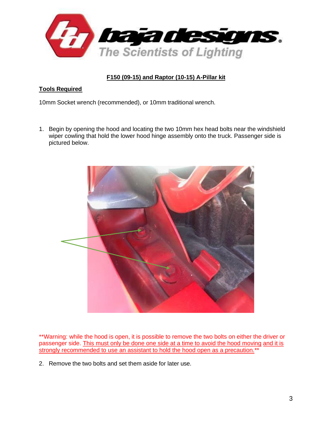

## **F150 (09-15) and Raptor (10-15) A-Pillar kit**

### **Tools Required**

10mm Socket wrench (recommended), or 10mm traditional wrench.

1. Begin by opening the hood and locating the two 10mm hex head bolts near the windshield wiper cowling that hold the lower hood hinge assembly onto the truck. Passenger side is pictured below.



\*\*Warning: while the hood is open, it is possible to remove the two bolts on either the driver or passenger side. This must only be done one side at a time to avoid the hood moving and it is strongly recommended to use an assistant to hold the hood open as a precaution.<sup>\*\*</sup>

2. Remove the two bolts and set them aside for later use.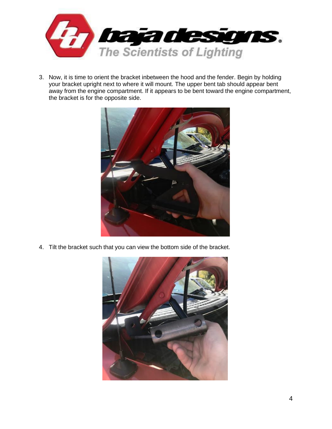

3. Now, it is time to orient the bracket inbetween the hood and the fender. Begin by holding your bracket upright next to where it will mount. The upper bent tab should appear bent away from the engine compartment. If it appears to be bent toward the engine compartment, the bracket is for the opposite side.



4. Tilt the bracket such that you can view the bottom side of the bracket.

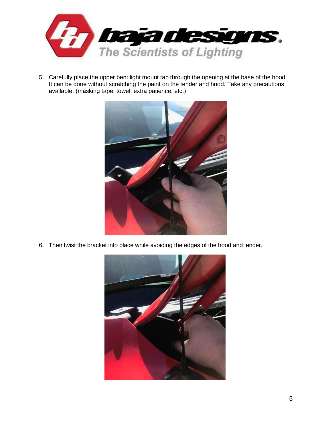

5. Carefully place the upper bent light mount tab through the opening at the base of the hood. It can be done without scratching the paint on the fender and hood. Take any precautions available. (masking tape, towel, extra patience, etc.)



6. Then twist the bracket into place while avoiding the edges of the hood and fender.

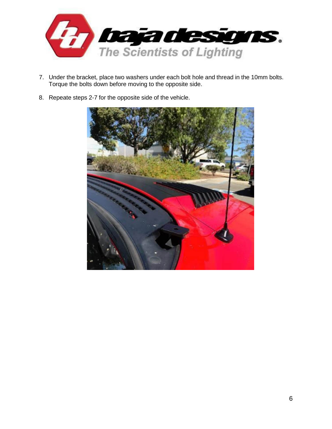

- 7. Under the bracket, place two washers under each bolt hole and thread in the 10mm bolts. Torque the bolts down before moving to the opposite side.
- 8. Repeate steps 2-7 for the opposite side of the vehicle.